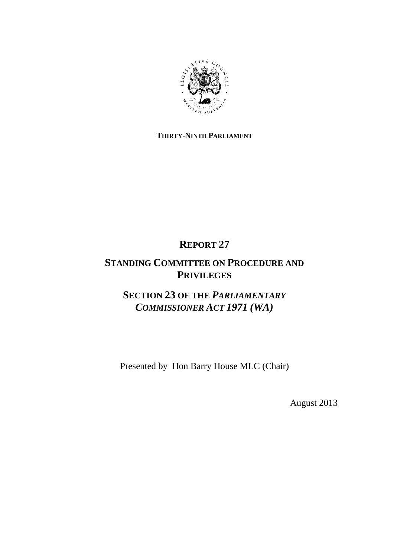

### **THIRTY-NINTH PARLIAMENT**

# **REPORT 27**

## **STANDING COMMITTEE ON PROCEDURE AND PRIVILEGES**

## **SECTION 23 OF THE** *PARLIAMENTARY COMMISSIONER ACT 1971 (WA)*

Presented by Hon Barry House MLC (Chair)

August 2013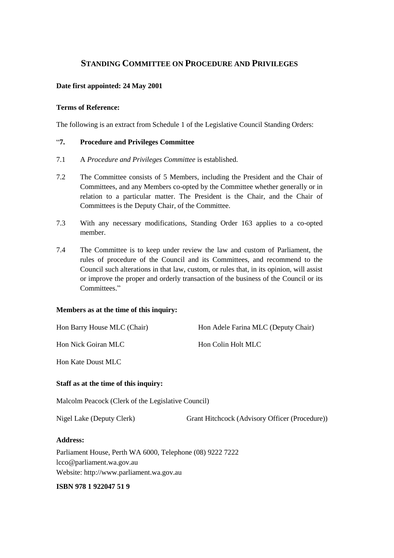### **STANDING COMMITTEE ON PROCEDURE AND PRIVILEGES**

#### **Date first appointed: 24 May 2001**

#### **Terms of Reference:**

The following is an extract from Schedule 1 of the Legislative Council Standing Orders:

#### "**7. Procedure and Privileges Committee**

- 7.1 A *Procedure and Privileges Committee* is established.
- 7.2 The Committee consists of 5 Members, including the President and the Chair of Committees, and any Members co-opted by the Committee whether generally or in relation to a particular matter. The President is the Chair, and the Chair of Committees is the Deputy Chair, of the Committee.
- 7.3 With any necessary modifications, Standing Order 163 applies to a co-opted member.
- 7.4 The Committee is to keep under review the law and custom of Parliament, the rules of procedure of the Council and its Committees, and recommend to the Council such alterations in that law, custom, or rules that, in its opinion, will assist or improve the proper and orderly transaction of the business of the Council or its Committees."

#### **Members as at the time of this inquiry:**

| Hon Barry House MLC (Chair)                        | Hon Adele Farina MLC (Deputy Chair)            |  |
|----------------------------------------------------|------------------------------------------------|--|
| Hon Nick Goiran MLC                                | Hon Colin Holt MLC                             |  |
| <b>Hon Kate Doust MLC</b>                          |                                                |  |
| Staff as at the time of this inquiry:              |                                                |  |
| Malcolm Peacock (Clerk of the Legislative Council) |                                                |  |
| Nigel Lake (Deputy Clerk)                          | Grant Hitchcock (Advisory Officer (Procedure)) |  |

#### **Address:**

Parliament House, Perth WA 6000, Telephone (08) 9222 7222 lcco@parliament.wa.gov.au Website: http://www.parliament.wa.gov.au

#### **ISBN 978 1 922047 51 9**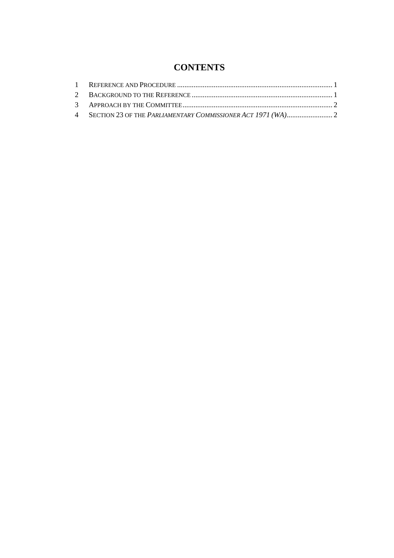### **CONTENTS**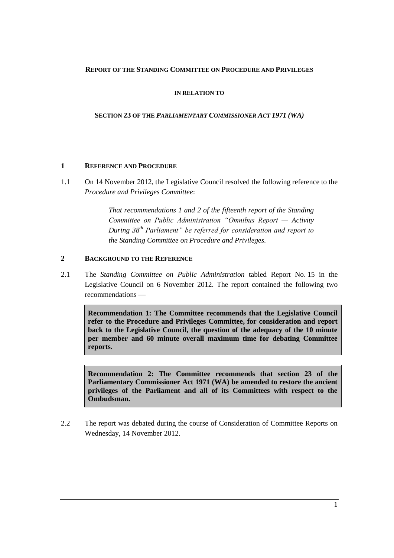#### **REPORT OF THE STANDING COMMITTEE ON PROCEDURE AND PRIVILEGES**

**IN RELATION TO**

**SECTION 23 OF THE** *PARLIAMENTARY COMMISSIONER ACT 1971 (WA)*

#### **1 REFERENCE AND PROCEDURE**

1.1 On 14 November 2012, the Legislative Council resolved the following reference to the *Procedure and Privileges Committee*:

> *That recommendations 1 and 2 of the fifteenth report of the Standing Committee on Public Administration "Omnibus Report — Activity During 38th Parliament" be referred for consideration and report to the Standing Committee on Procedure and Privileges.*

#### **2 BACKGROUND TO THE REFERENCE**

2.1 The *Standing Committee on Public Administration* tabled Report No. 15 in the Legislative Council on 6 November 2012. The report contained the following two recommendations —

**Recommendation 1: The Committee recommends that the Legislative Council refer to the Procedure and Privileges Committee, for consideration and report back to the Legislative Council, the question of the adequacy of the 10 minute per member and 60 minute overall maximum time for debating Committee reports.**

**Recommendation 2: The Committee recommends that section 23 of the Parliamentary Commissioner Act 1971 (WA) be amended to restore the ancient privileges of the Parliament and all of its Committees with respect to the Ombudsman.**

2.2 The report was debated during the course of Consideration of Committee Reports on Wednesday, 14 November 2012.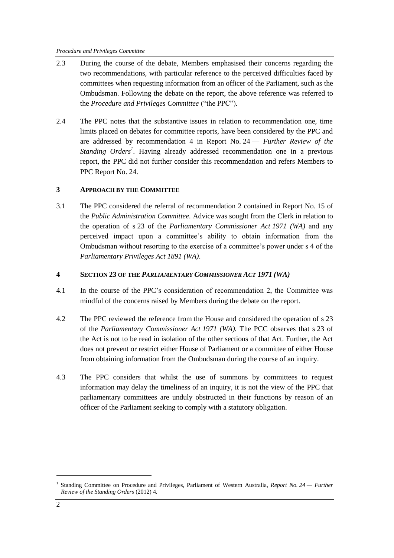- 2.3 During the course of the debate, Members emphasised their concerns regarding the two recommendations, with particular reference to the perceived difficulties faced by committees when requesting information from an officer of the Parliament, such as the Ombudsman. Following the debate on the report, the above reference was referred to the *Procedure and Privileges Committee* ("the PPC")*.*
- 2.4 The PPC notes that the substantive issues in relation to recommendation one, time limits placed on debates for committee reports, have been considered by the PPC and are addressed by recommendation 4 in Report No. 24 — *Further Review of the*  Standing Orders<sup>1</sup>. Having already addressed recommendation one in a previous report, the PPC did not further consider this recommendation and refers Members to PPC Report No. 24.

#### **3 APPROACH BY THE COMMITTEE**

3.1 The PPC considered the referral of recommendation 2 contained in Report No. 15 of the *Public Administration Committee.* Advice was sought from the Clerk in relation to the operation of s 23 of the *Parliamentary Commissioner Act 1971 (WA)* and any perceived impact upon a committee's ability to obtain information from the Ombudsman without resorting to the exercise of a committee's power under s 4 of the *Parliamentary Privileges Act 1891 (WA)*.

#### **4 SECTION 23 OF THE** *PARLIAMENTARY COMMISSIONER ACT 1971 (WA)*

- 4.1 In the course of the PPC's consideration of recommendation 2, the Committee was mindful of the concerns raised by Members during the debate on the report.
- 4.2 The PPC reviewed the reference from the House and considered the operation of s 23 of the *Parliamentary Commissioner Act 1971 (WA).* The PCC observes that s 23 of the Act is not to be read in isolation of the other sections of that Act. Further, the Act does not prevent or restrict either House of Parliament or a committee of either House from obtaining information from the Ombudsman during the course of an inquiry.
- 4.3 The PPC considers that whilst the use of summons by committees to request information may delay the timeliness of an inquiry, it is not the view of the PPC that parliamentary committees are unduly obstructed in their functions by reason of an officer of the Parliament seeking to comply with a statutory obligation.

1

<sup>&</sup>lt;sup>1</sup> Standing Committee on Procedure and Privileges, Parliament of Western Australia, *Report No. 24 – Further Review of the Standing Orders* (2012) 4.